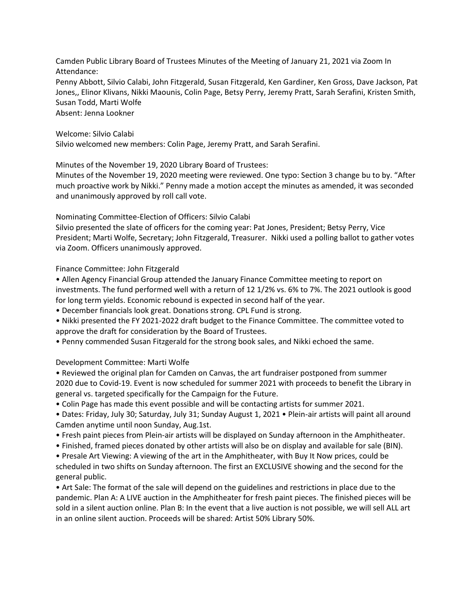Camden Public Library Board of Trustees Minutes of the Meeting of January 21, 2021 via Zoom In Attendance:

Penny Abbott, Silvio Calabi, John Fitzgerald, Susan Fitzgerald, Ken Gardiner, Ken Gross, Dave Jackson, Pat Jones,, Elinor Klivans, Nikki Maounis, Colin Page, Betsy Perry, Jeremy Pratt, Sarah Serafini, Kristen Smith, Susan Todd, Marti Wolfe Absent: Jenna Lookner

Welcome: Silvio Calabi

Silvio welcomed new members: Colin Page, Jeremy Pratt, and Sarah Serafini.

Minutes of the November 19, 2020 Library Board of Trustees:

Minutes of the November 19, 2020 meeting were reviewed. One typo: Section 3 change bu to by. "After much proactive work by Nikki." Penny made a motion accept the minutes as amended, it was seconded and unanimously approved by roll call vote.

Nominating Committee-Election of Officers: Silvio Calabi

Silvio presented the slate of officers for the coming year: Pat Jones, President; Betsy Perry, Vice President; Marti Wolfe, Secretary; John Fitzgerald, Treasurer. Nikki used a polling ballot to gather votes via Zoom. Officers unanimously approved.

Finance Committee: John Fitzgerald

• Allen Agency Financial Group attended the January Finance Committee meeting to report on investments. The fund performed well with a return of 12 1/2% vs. 6% to 7%. The 2021 outlook is good for long term yields. Economic rebound is expected in second half of the year.

• December financials look great. Donations strong. CPL Fund is strong.

• Nikki presented the FY 2021-2022 draft budget to the Finance Committee. The committee voted to approve the draft for consideration by the Board of Trustees.

• Penny commended Susan Fitzgerald for the strong book sales, and Nikki echoed the same.

Development Committee: Marti Wolfe

• Reviewed the original plan for Camden on Canvas, the art fundraiser postponed from summer 2020 due to Covid-19. Event is now scheduled for summer 2021 with proceeds to benefit the Library in general vs. targeted specifically for the Campaign for the Future.

• Colin Page has made this event possible and will be contacting artists for summer 2021.

• Dates: Friday, July 30; Saturday, July 31; Sunday August 1, 2021 • Plein-air artists will paint all around Camden anytime until noon Sunday, Aug.1st.

- Fresh paint pieces from Plein-air artists will be displayed on Sunday afternoon in the Amphitheater.
- Finished, framed pieces donated by other artists will also be on display and available for sale (BIN).

• Presale Art Viewing: A viewing of the art in the Amphitheater, with Buy It Now prices, could be scheduled in two shifts on Sunday afternoon. The first an EXCLUSIVE showing and the second for the general public.

• Art Sale: The format of the sale will depend on the guidelines and restrictions in place due to the pandemic. Plan A: A LIVE auction in the Amphitheater for fresh paint pieces. The finished pieces will be sold in a silent auction online. Plan B: In the event that a live auction is not possible, we will sell ALL art in an online silent auction. Proceeds will be shared: Artist 50% Library 50%.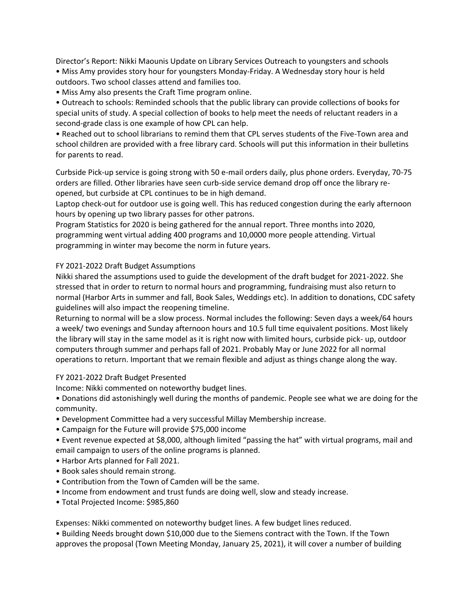Director's Report: Nikki Maounis Update on Library Services Outreach to youngsters and schools • Miss Amy provides story hour for youngsters Monday-Friday. A Wednesday story hour is held outdoors. Two school classes attend and families too.

• Miss Amy also presents the Craft Time program online.

• Outreach to schools: Reminded schools that the public library can provide collections of books for special units of study. A special collection of books to help meet the needs of reluctant readers in a second-grade class is one example of how CPL can help.

• Reached out to school librarians to remind them that CPL serves students of the Five-Town area and school children are provided with a free library card. Schools will put this information in their bulletins for parents to read.

Curbside Pick-up service is going strong with 50 e-mail orders daily, plus phone orders. Everyday, 70-75 orders are filled. Other libraries have seen curb-side service demand drop off once the library reopened, but curbside at CPL continues to be in high demand.

Laptop check-out for outdoor use is going well. This has reduced congestion during the early afternoon hours by opening up two library passes for other patrons.

Program Statistics for 2020 is being gathered for the annual report. Three months into 2020, programming went virtual adding 400 programs and 10,0000 more people attending. Virtual programming in winter may become the norm in future years.

## FY 2021-2022 Draft Budget Assumptions

Nikki shared the assumptions used to guide the development of the draft budget for 2021-2022. She stressed that in order to return to normal hours and programming, fundraising must also return to normal (Harbor Arts in summer and fall, Book Sales, Weddings etc). In addition to donations, CDC safety guidelines will also impact the reopening timeline.

Returning to normal will be a slow process. Normal includes the following: Seven days a week/64 hours a week/ two evenings and Sunday afternoon hours and 10.5 full time equivalent positions. Most likely the library will stay in the same model as it is right now with limited hours, curbside pick- up, outdoor computers through summer and perhaps fall of 2021. Probably May or June 2022 for all normal operations to return. Important that we remain flexible and adjust as things change along the way.

## FY 2021-2022 Draft Budget Presented

Income: Nikki commented on noteworthy budget lines.

• Donations did astonishingly well during the months of pandemic. People see what we are doing for the community.

- Development Committee had a very successful Millay Membership increase.
- Campaign for the Future will provide \$75,000 income

• Event revenue expected at \$8,000, although limited "passing the hat" with virtual programs, mail and email campaign to users of the online programs is planned.

- Harbor Arts planned for Fall 2021.
- Book sales should remain strong.
- Contribution from the Town of Camden will be the same.
- Income from endowment and trust funds are doing well, slow and steady increase.
- Total Projected Income: \$985,860

Expenses: Nikki commented on noteworthy budget lines. A few budget lines reduced.

• Building Needs brought down \$10,000 due to the Siemens contract with the Town. If the Town approves the proposal (Town Meeting Monday, January 25, 2021), it will cover a number of building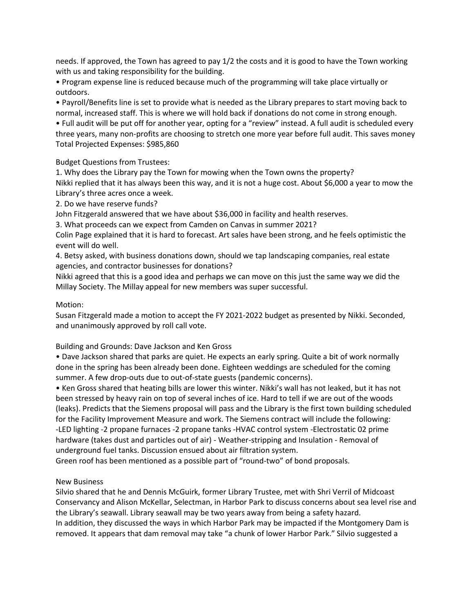needs. If approved, the Town has agreed to pay 1/2 the costs and it is good to have the Town working with us and taking responsibility for the building.

• Program expense line is reduced because much of the programming will take place virtually or outdoors.

• Payroll/Benefits line is set to provide what is needed as the Library prepares to start moving back to normal, increased staff. This is where we will hold back if donations do not come in strong enough. • Full audit will be put off for another year, opting for a "review" instead. A full audit is scheduled every three years, many non-profits are choosing to stretch one more year before full audit. This saves money

Total Projected Expenses: \$985,860

Budget Questions from Trustees:

1. Why does the Library pay the Town for mowing when the Town owns the property? Nikki replied that it has always been this way, and it is not a huge cost. About \$6,000 a year to mow the Library's three acres once a week.

2. Do we have reserve funds?

John Fitzgerald answered that we have about \$36,000 in facility and health reserves.

3. What proceeds can we expect from Camden on Canvas in summer 2021?

Colin Page explained that it is hard to forecast. Art sales have been strong, and he feels optimistic the event will do well.

4. Betsy asked, with business donations down, should we tap landscaping companies, real estate agencies, and contractor businesses for donations?

Nikki agreed that this is a good idea and perhaps we can move on this just the same way we did the Millay Society. The Millay appeal for new members was super successful.

## Motion:

Susan Fitzgerald made a motion to accept the FY 2021-2022 budget as presented by Nikki. Seconded, and unanimously approved by roll call vote.

Building and Grounds: Dave Jackson and Ken Gross

• Dave Jackson shared that parks are quiet. He expects an early spring. Quite a bit of work normally done in the spring has been already been done. Eighteen weddings are scheduled for the coming summer. A few drop-outs due to out-of-state guests (pandemic concerns).

• Ken Gross shared that heating bills are lower this winter. Nikki's wall has not leaked, but it has not been stressed by heavy rain on top of several inches of ice. Hard to tell if we are out of the woods (leaks). Predicts that the Siemens proposal will pass and the Library is the first town building scheduled for the Facility Improvement Measure and work. The Siemens contract will include the following: -LED lighting -2 propane furnaces -2 propane tanks -HVAC control system -Electrostatic 02 prime hardware (takes dust and particles out of air) - Weather-stripping and Insulation - Removal of underground fuel tanks. Discussion ensued about air filtration system.

Green roof has been mentioned as a possible part of "round-two" of bond proposals.

## New Business

Silvio shared that he and Dennis McGuirk, former Library Trustee, met with Shri Verril of Midcoast Conservancy and Alison McKellar, Selectman, in Harbor Park to discuss concerns about sea level rise and the Library's seawall. Library seawall may be two years away from being a safety hazard. In addition, they discussed the ways in which Harbor Park may be impacted if the Montgomery Dam is removed. It appears that dam removal may take "a chunk of lower Harbor Park." Silvio suggested a